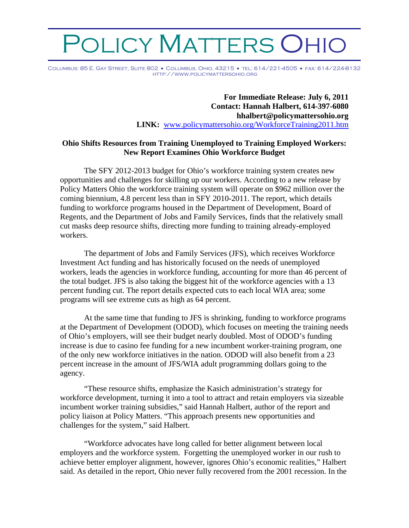## DLICY MATTERS OF

Columbus: 85 E. Gay Street, Suite 802 • Columbus, Ohio, 43215 • tel: 614/221-4505 • fax: 614/224-8132 http://www.policymattersohio.org

> **For Immediate Release: July 6, 2011 Contact: Hannah Halbert, 614-397-6080 hhalbert@policymattersohio.org LINK:** [www.policymattersohio.org/WorkforceTraining2011.htm](http://www.policymattersohio.org/WorkforceTraining2011.htm)

## **Ohio Shifts Resources from Training Unemployed to Training Employed Workers: New Report Examines Ohio Workforce Budget**

The SFY 2012-2013 budget for Ohio's workforce training system creates new opportunities and challenges for skilling up our workers. According to a new release by Policy Matters Ohio the workforce training system will operate on \$962 million over the coming biennium, 4.8 percent less than in SFY 2010-2011. The report, which details funding to workforce programs housed in the Department of Development, Board of Regents, and the Department of Jobs and Family Services, finds that the relatively small cut masks deep resource shifts, directing more funding to training already-employed workers.

The department of Jobs and Family Services (JFS), which receives Workforce Investment Act funding and has historically focused on the needs of unemployed workers, leads the agencies in workforce funding, accounting for more than 46 percent of the total budget. JFS is also taking the biggest hit of the workforce agencies with a 13 percent funding cut. The report details expected cuts to each local WIA area; some programs will see extreme cuts as high as 64 percent.

At the same time that funding to JFS is shrinking, funding to workforce programs at the Department of Development (ODOD), which focuses on meeting the training needs of Ohio's employers, will see their budget nearly doubled. Most of ODOD's funding increase is due to casino fee funding for a new incumbent worker-training program, one of the only new workforce initiatives in the nation. ODOD will also benefit from a 23 percent increase in the amount of JFS/WIA adult programming dollars going to the agency.

"These resource shifts, emphasize the Kasich administration's strategy for workforce development, turning it into a tool to attract and retain employers via sizeable incumbent worker training subsidies," said Hannah Halbert, author of the report and policy liaison at Policy Matters. "This approach presents new opportunities and challenges for the system," said Halbert.

"Workforce advocates have long called for better alignment between local employers and the workforce system. Forgetting the unemployed worker in our rush to achieve better employer alignment, however, ignores Ohio's economic realities," Halbert said. As detailed in the report, Ohio never fully recovered from the 2001 recession. In the